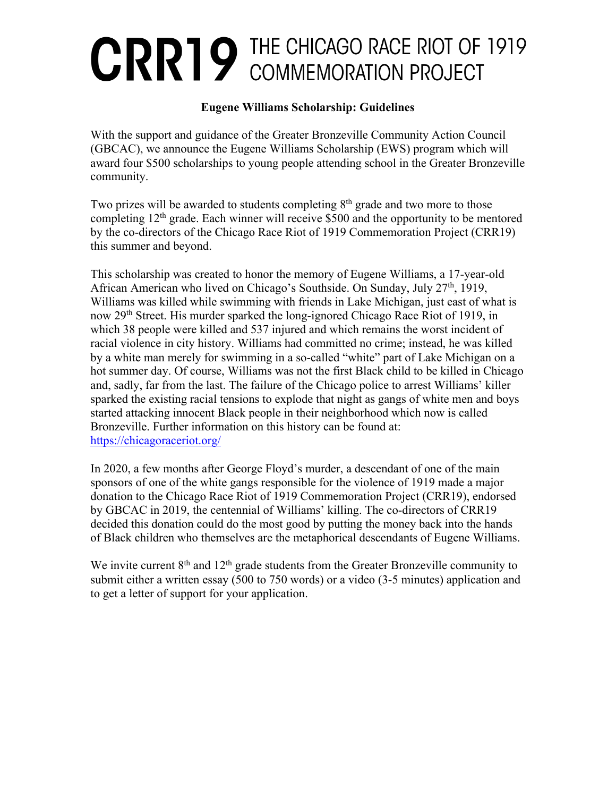## **CRRIP THE CHICAGO RACE RIOT OF 1919**

## **Eugene Williams Scholarship: Guidelines**

With the support and guidance of the Greater Bronzeville Community Action Council (GBCAC), we announce the Eugene Williams Scholarship (EWS) program which will award four \$500 scholarships to young people attending school in the Greater Bronzeville community.

Two prizes will be awarded to students completing  $8<sup>th</sup>$  grade and two more to those completing  $12<sup>th</sup>$  grade. Each winner will receive \$500 and the opportunity to be mentored by the co-directors of the Chicago Race Riot of 1919 Commemoration Project (CRR19) this summer and beyond.

This scholarship was created to honor the memory of Eugene Williams, a 17-year-old African American who lived on Chicago's Southside. On Sunday, July 27<sup>th</sup>, 1919, Williams was killed while swimming with friends in Lake Michigan, just east of what is now 29th Street. His murder sparked the long-ignored Chicago Race Riot of 1919, in which 38 people were killed and 537 injured and which remains the worst incident of racial violence in city history. Williams had committed no crime; instead, he was killed by a white man merely for swimming in a so-called "white" part of Lake Michigan on a hot summer day. Of course, Williams was not the first Black child to be killed in Chicago and, sadly, far from the last. The failure of the Chicago police to arrest Williams' killer sparked the existing racial tensions to explode that night as gangs of white men and boys started attacking innocent Black people in their neighborhood which now is called Bronzeville. Further information on this history can be found at: https://chicagoraceriot.org/

In 2020, a few months after George Floyd's murder, a descendant of one of the main sponsors of one of the white gangs responsible for the violence of 1919 made a major donation to the Chicago Race Riot of 1919 Commemoration Project (CRR19), endorsed by GBCAC in 2019, the centennial of Williams' killing. The co-directors of CRR19 decided this donation could do the most good by putting the money back into the hands of Black children who themselves are the metaphorical descendants of Eugene Williams.

We invite current  $8<sup>th</sup>$  and  $12<sup>th</sup>$  grade students from the Greater Bronzeville community to submit either a written essay (500 to 750 words) or a video (3-5 minutes) application and to get a letter of support for your application.